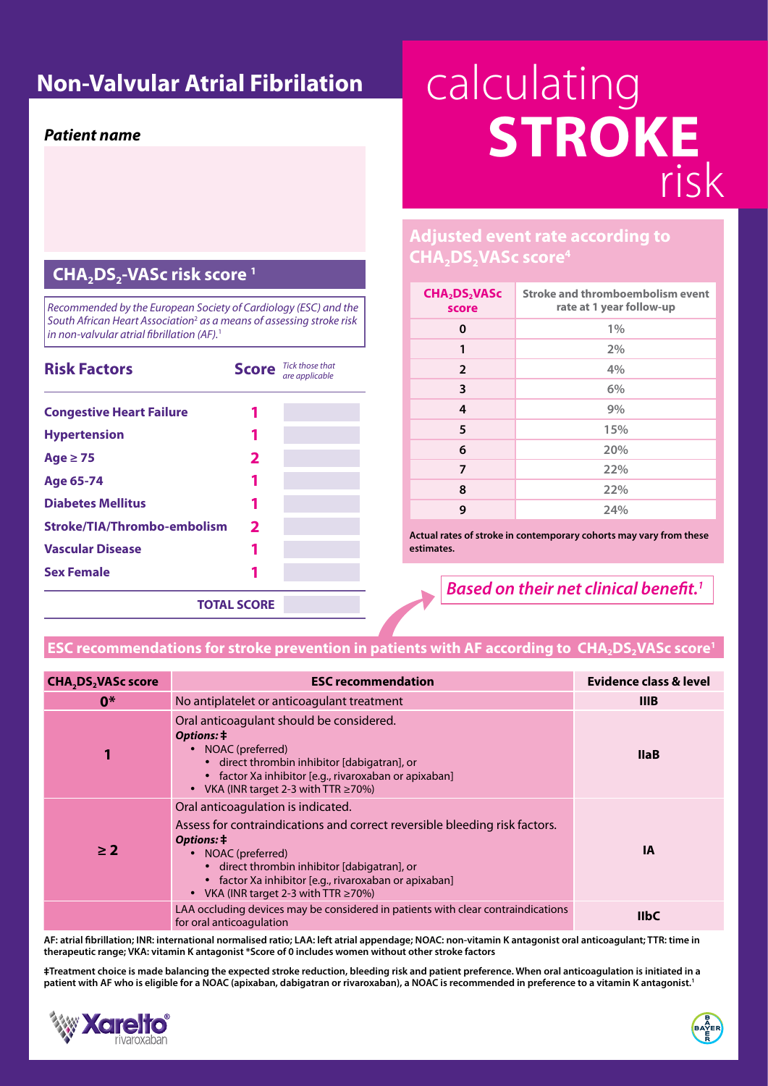## *Patient name*

**Non-Valvular Atrial Fibrilation | Calculating** risk **STROKE**

## CHA<sub>2</sub>DS<sub>2</sub>-VASc risk score<sup>1</sup>

*Recommended by the European Society of Cardiology (ESC) and the South African Heart Association*<sup>2</sup>  *as a means of assessing stroke risk in non-valvular atrial fibrillation (AF).*<sup>1</sup>

| <b>Risk Factors</b>             |                    | <b>Score</b> Tick those that<br>are applicable |
|---------------------------------|--------------------|------------------------------------------------|
| <b>Congestive Heart Failure</b> |                    |                                                |
| <b>Hypertension</b>             |                    |                                                |
| Age $\geq$ 75                   | $\mathbf{2}$       |                                                |
| Age 65-74                       |                    |                                                |
| <b>Diabetes Mellitus</b>        |                    |                                                |
| Stroke/TIA/Thrombo-embolism     | $\mathbf{2}$       |                                                |
| <b>Vascular Disease</b>         |                    |                                                |
| <b>Sex Female</b>               |                    |                                                |
|                                 | <b>TOTAL SCORE</b> |                                                |

## **Adjusted event rate according to**  CHA<sub>2</sub>DS<sub>2</sub>VASc score<sup>4</sup>

| CHA <sub>2</sub> DS <sub>2</sub> VASc<br>score | <b>Stroke and thromboembolism event</b><br>rate at 1 year follow-up |  |
|------------------------------------------------|---------------------------------------------------------------------|--|
| 0                                              | $1\%$                                                               |  |
| 1                                              | 2%                                                                  |  |
| $\overline{2}$                                 | 4%                                                                  |  |
| 3                                              | 6%                                                                  |  |
| 4                                              | 9%                                                                  |  |
| 5                                              | 15%                                                                 |  |
| 6                                              | 20%                                                                 |  |
| 7                                              | 22%                                                                 |  |
| 8                                              | 22%                                                                 |  |
| 9                                              | 24%                                                                 |  |

**Actual rates of stroke in contemporary cohorts may vary from these estimates.**

## *Based on their net clinical benefit.1*

## **ESC recommendations for stroke prevention in patients with AF according to <code>CHA</code><sub>2</sub>DS<sub>2</sub>VASc score<sup>1</sup>**

| <b>CHA<sub>2</sub>DS<sub>2</sub>VASc score</b> | <b>ESC recommendation</b>                                                                                                                                                                                                                                                                                 | <b>Evidence class &amp; level</b> |
|------------------------------------------------|-----------------------------------------------------------------------------------------------------------------------------------------------------------------------------------------------------------------------------------------------------------------------------------------------------------|-----------------------------------|
| $0*$                                           | No antiplatelet or anticoagulant treatment                                                                                                                                                                                                                                                                | <b>IIIB</b>                       |
| 1                                              | Oral anticoagulant should be considered.<br>Options: ‡<br>NOAC (preferred)<br>• direct thrombin inhibitor [dabigatran], or<br>• factor Xa inhibitor [e.g., rivaroxaban or apixaban]<br>• VKA (INR target 2-3 with TTR $\geq$ 70%)                                                                         | <b>IlaB</b>                       |
| $\geq 2$                                       | Oral anticoagulation is indicated.<br>Assess for contraindications and correct reversible bleeding risk factors.<br>Options: ‡<br>NOAC (preferred)<br>• direct thrombin inhibitor [dabigatran], or<br>• factor Xa inhibitor [e.g., rivaroxaban or apixaban]<br>• VKA (INR target 2-3 with TTR $\geq$ 70%) | <b>IA</b>                         |
|                                                | LAA occluding devices may be considered in patients with clear contraindications<br>for oral anticoagulation                                                                                                                                                                                              | <b>IIbC</b>                       |

**AF: atrial fibrillation; INR: international normalised ratio; LAA: left atrial appendage; NOAC: non-vitamin K antagonist oral anticoagulant; TTR: time in therapeutic range; VKA: vitamin K antagonist \*Score of 0 includes women without other stroke factors**

**‡Treatment choice is made balancing the expected stroke reduction, bleeding risk and patient preference. When oral anticoagulation is initiated in a patient with AF who is eligible for a NOAC (apixaban, dabigatran or rivaroxaban), a NOAC is recommended in preference to a vitamin K antagonist.1**